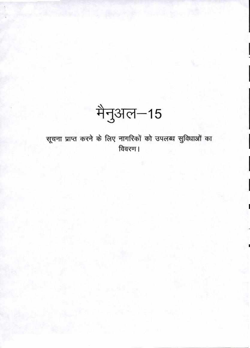मैनुअल–15

सूचना प्राप्त करने के लिए नागरिकों को उपलब्ध सुविधाओं का विवरण ।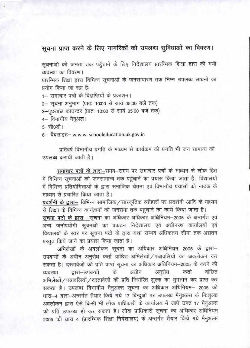## सूचना प्राप्त करने के लिए नागरिकों को उपलब्ध सुविधाओं का विवरण।

सूचनाओं को जनता तक पहुँचाने के लिए निदेशालय प्रारम्भिक शिक्षा द्वारा की गयी व्यवस्था का विवरण।

प्रारम्भिक शिक्षा द्वारा विभिन्न सूचनाओं के जनसाधारण तक निम्न उपलब्ध साधनों का प्रयोग किया जा रहा है:--

1– समाचार पत्रों के विज्ञप्तियों के प्रकाशन।

2- सूचना अनुभाग (प्रातः 10:00 से सायं 05:00 बजे तक)

3-पूछताछ काउन्टर (प्रातः 10:00 से सायं 05:00 बजे तक)

4– विभागीय मैनुअल।

5-सी0डी।

6- वैबसाइट- w.w.w. schooleducation.uk.gov.in

प्रतिवर्ष विभागीय प्रगति के माध्यम से कार्यक्रम की प्रगति भी जन सामान्य को जपलब्ध करायी जाती है।

समाचार पत्रों के द्वारा-समय-समय पर समाचार पत्रों के माध्यम से लोक हित में विभिन्न सूचनाओं को जनसामान्य तक पहुंचाने का प्रयास किया जाता है। विद्यालयों में विभिन्न प्रतियोगिताओं के द्वारा समाजिक चेतना एवं विभागीय प्रयासों को नाटक के माध्यम से प्रचारित किया जाता है।

प्रदर्शनी के द्वारा- विभिन्न सामाजिक/सांस्कृतिक त्यौहारों पर प्रदर्शनी आदि के माध्यम से शिक्षा के विभिन्न कार्यक्रमों को जनसभा तक पहचाने का कार्य किया जाता है।

सूचना पटो के द्वारा- सूचना का अधिकार अधिकार अधिनियम-2005 के अन्तर्गत एवं अन्य जनोपयोगी सूचनओं का प्रकटन निदेशालय एवं अधीनस्थ कार्यालयों एवं विद्यालयों के स्तर पर सूचना पटों के द्वारा यथा सम्भव अधिकतम सीमा तक अद्यतन प्रस्तत किये जाने का प्रयास किया जाता है।

अभिलेखों के अवलोकन सूचना का अधिकार अधिनियम 2005 के द्वारा-उपबन्धों के अधीन अनुरोध कर्ता वांछित अभिलेखों / पत्रावलियों का अवलोकन कर सकता है। दस्तावेजो की प्रति प्राप्त सूचना का अधिकार अधिनियम-2005 के करने की अनुरोध कर्ता वांछित अधीन व्यवस्था द्वारा–उपबन्धों के अभिलेखों / पत्रावलियों / दस्तावेजों की प्रति निर्धारित शुल्क का भुगतान कर प्राप्त कर सकता है। उपलब्ध विभागीय मैनुअल्स सूचना का अधिकार अधिनियम- 2005 की धारा-4 द्वारा-अन्तर्गत तैयार किये गये 17 बिन्दुओं पर उपलब्ध मैनुअल्स के निःशुल्क अवलोकन द्वारा ऐसे किसी भी लोक प्राधिकारी के कार्यालय में जहाँ उक्त 17 मैनुअल्स की प्रति उपलब्ध हो कर सकता है। लोक प्राधिकारी सूचना का अधिकार अधिनियम 2005 की धारा 4 (प्रारम्भिक शिक्षा निदेशालय) के अन्तर्गत तैयार किये गये मैनुअल्स